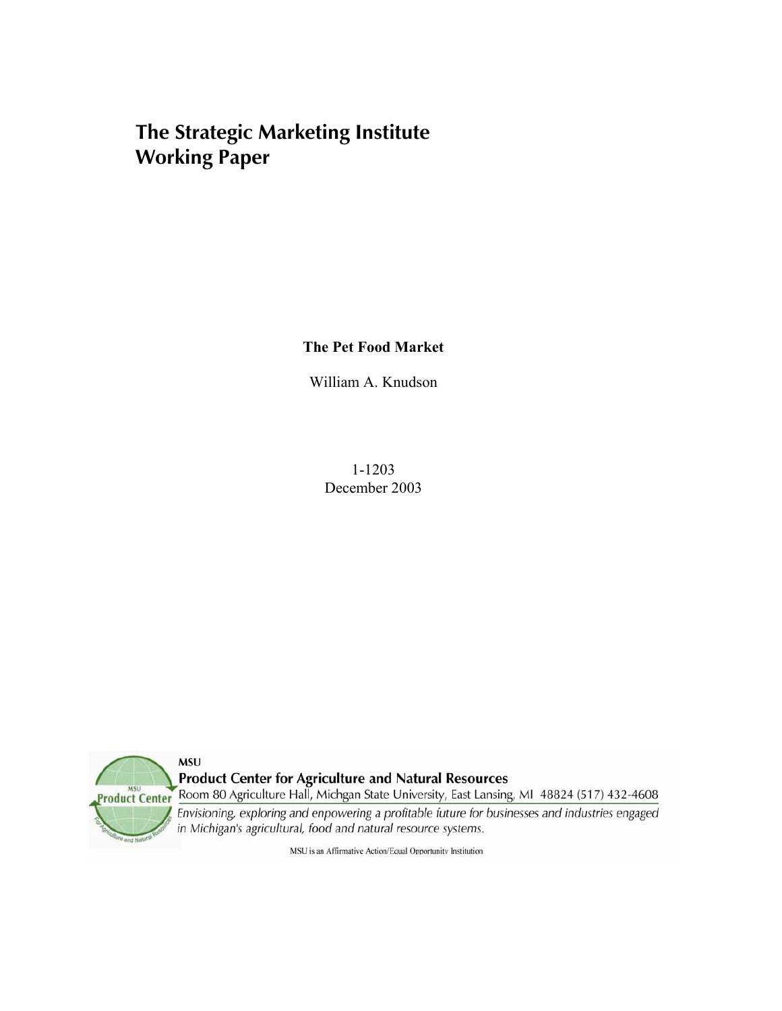# **The Strategic Marketing Institute Working Paper**

**The Pet Food Market** 

William A. Knudson

1-1203 December 2003



**Product Center for Agriculture and Natural Resources** 

Room 80 Agriculture Hall, Michgan State University, East Lansing, MI 48824 (517) 432-4608

Envisioning, exploring and enpowering a profitable future for businesses and industries engaged in Michigan's agricultural, food and natural resource systems.

MSU is an Affirmative Action/Equal Opportunity Institution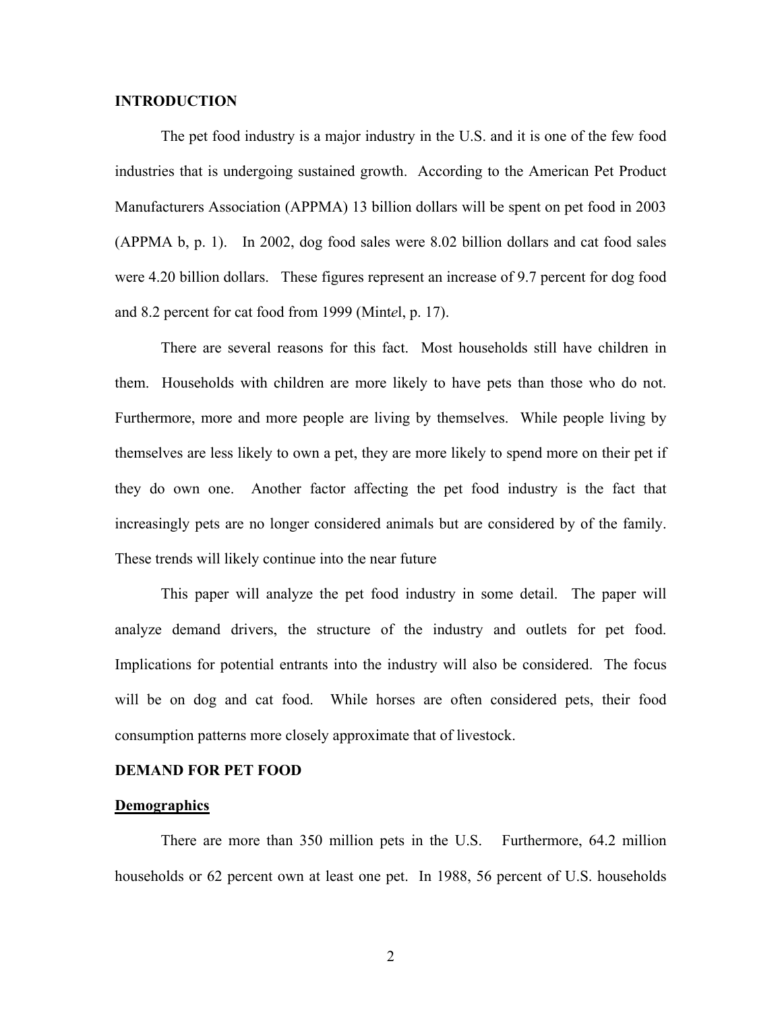## **INTRODUCTION**

The pet food industry is a major industry in the U.S. and it is one of the few food industries that is undergoing sustained growth. According to the American Pet Product Manufacturers Association (APPMA) 13 billion dollars will be spent on pet food in 2003 (APPMA b, p. 1). In 2002, dog food sales were 8.02 billion dollars and cat food sales were 4.20 billion dollars. These figures represent an increase of 9.7 percent for dog food and 8.2 percent for cat food from 1999 (Mint*e*l, p. 17).

There are several reasons for this fact. Most households still have children in them. Households with children are more likely to have pets than those who do not. Furthermore, more and more people are living by themselves. While people living by themselves are less likely to own a pet, they are more likely to spend more on their pet if they do own one. Another factor affecting the pet food industry is the fact that increasingly pets are no longer considered animals but are considered by of the family. These trends will likely continue into the near future

This paper will analyze the pet food industry in some detail. The paper will analyze demand drivers, the structure of the industry and outlets for pet food. Implications for potential entrants into the industry will also be considered. The focus will be on dog and cat food. While horses are often considered pets, their food consumption patterns more closely approximate that of livestock.

## **DEMAND FOR PET FOOD**

## **Demographics**

 There are more than 350 million pets in the U.S. Furthermore, 64.2 million households or 62 percent own at least one pet. In 1988, 56 percent of U.S. households

2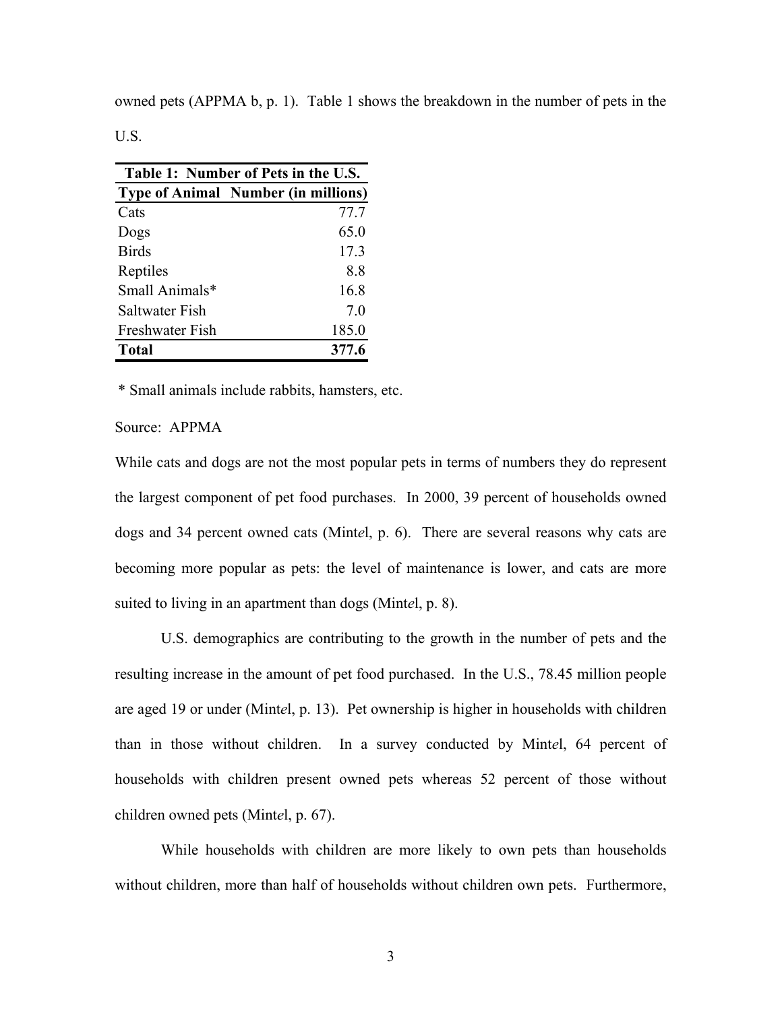owned pets (APPMA b, p. 1). Table 1 shows the breakdown in the number of pets in the

U.S.

| Table 1: Number of Pets in the U.S. |                                            |  |
|-------------------------------------|--------------------------------------------|--|
|                                     | <b>Type of Animal Number (in millions)</b> |  |
| Cats                                | 77.7                                       |  |
| Dogs                                | 65.0                                       |  |
| <b>Birds</b>                        | 17.3                                       |  |
| Reptiles                            | 8.8                                        |  |
| Small Animals*                      | 16.8                                       |  |
| Saltwater Fish                      | 7.0                                        |  |
| Freshwater Fish                     | 185.0                                      |  |
| <b>Total</b>                        | 377.6                                      |  |

\* Small animals include rabbits, hamsters, etc.

## Source: APPMA

While cats and dogs are not the most popular pets in terms of numbers they do represent the largest component of pet food purchases. In 2000, 39 percent of households owned dogs and 34 percent owned cats (Mint*e*l, p. 6). There are several reasons why cats are becoming more popular as pets: the level of maintenance is lower, and cats are more suited to living in an apartment than dogs (Mint*e*l, p. 8).

 U.S. demographics are contributing to the growth in the number of pets and the resulting increase in the amount of pet food purchased. In the U.S., 78.45 million people are aged 19 or under (Mint*e*l, p. 13). Pet ownership is higher in households with children than in those without children. In a survey conducted by Mint*e*l, 64 percent of households with children present owned pets whereas 52 percent of those without children owned pets (Mint*e*l, p. 67).

 While households with children are more likely to own pets than households without children, more than half of households without children own pets. Furthermore,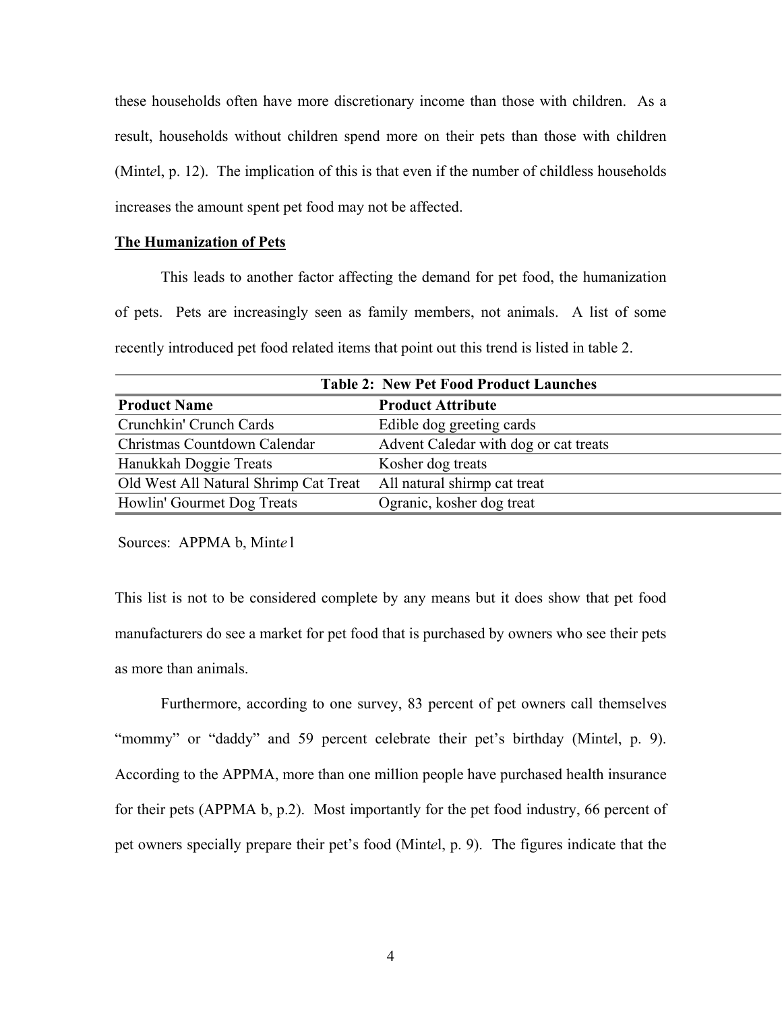these households often have more discretionary income than those with children. As a result, households without children spend more on their pets than those with children (Mint*e*l, p. 12). The implication of this is that even if the number of childless households increases the amount spent pet food may not be affected.

## **The Humanization of Pets**

 This leads to another factor affecting the demand for pet food, the humanization of pets. Pets are increasingly seen as family members, not animals. A list of some recently introduced pet food related items that point out this trend is listed in table 2.

| <b>Table 2: New Pet Food Product Launches</b> |                                       |  |  |
|-----------------------------------------------|---------------------------------------|--|--|
| <b>Product Name</b>                           | <b>Product Attribute</b>              |  |  |
| Crunchkin' Crunch Cards                       | Edible dog greeting cards             |  |  |
| Christmas Countdown Calendar                  | Advent Caledar with dog or cat treats |  |  |
| Hanukkah Doggie Treats                        | Kosher dog treats                     |  |  |
| Old West All Natural Shrimp Cat Treat         | All natural shirmp cat treat          |  |  |
| Howlin' Gourmet Dog Treats                    | Ogranic, kosher dog treat             |  |  |

Sources: APPMA b, Mint*e* l

This list is not to be considered complete by any means but it does show that pet food manufacturers do see a market for pet food that is purchased by owners who see their pets as more than animals.

 Furthermore, according to one survey, 83 percent of pet owners call themselves "mommy" or "daddy" and 59 percent celebrate their pet's birthday (Mint*e*l, p. 9). According to the APPMA, more than one million people have purchased health insurance for their pets (APPMA b, p.2). Most importantly for the pet food industry, 66 percent of pet owners specially prepare their pet's food (Mint*e*l, p. 9). The figures indicate that the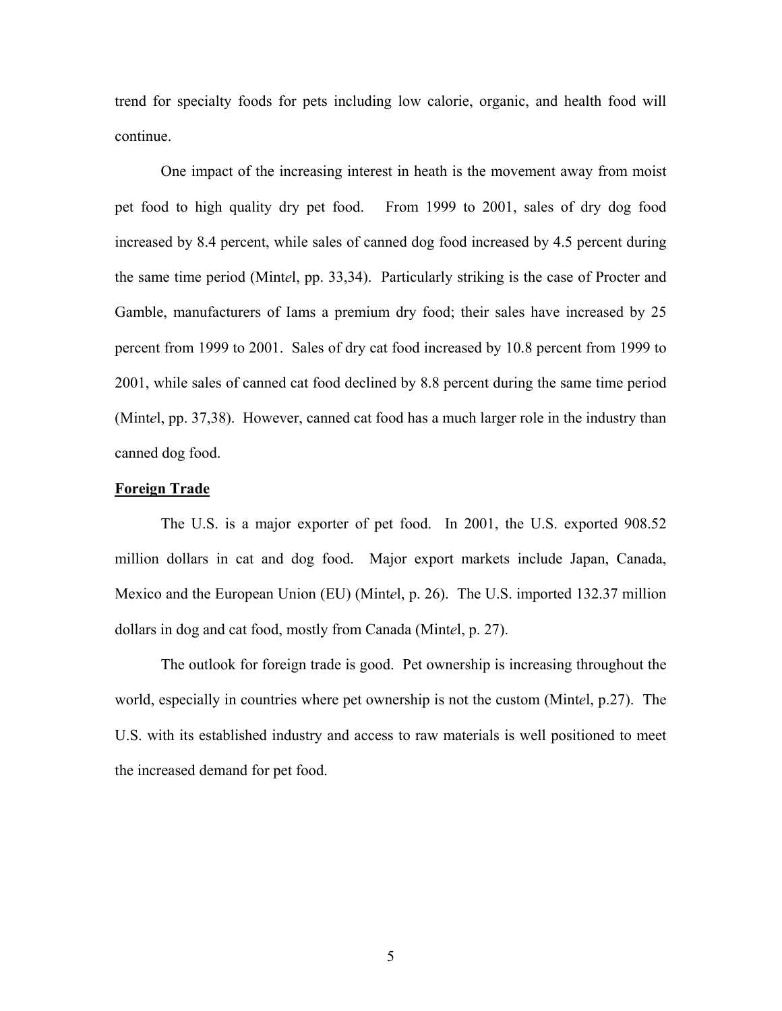trend for specialty foods for pets including low calorie, organic, and health food will continue.

 One impact of the increasing interest in heath is the movement away from moist pet food to high quality dry pet food. From 1999 to 2001, sales of dry dog food increased by 8.4 percent, while sales of canned dog food increased by 4.5 percent during the same time period (Mint*e*l, pp. 33,34). Particularly striking is the case of Procter and Gamble, manufacturers of Iams a premium dry food; their sales have increased by 25 percent from 1999 to 2001. Sales of dry cat food increased by 10.8 percent from 1999 to 2001, while sales of canned cat food declined by 8.8 percent during the same time period (Mint*e*l, pp. 37,38). However, canned cat food has a much larger role in the industry than canned dog food.

## **Foreign Trade**

 The U.S. is a major exporter of pet food. In 2001, the U.S. exported 908.52 million dollars in cat and dog food. Major export markets include Japan, Canada, Mexico and the European Union (EU) (Mint*e*l, p. 26). The U.S. imported 132.37 million dollars in dog and cat food, mostly from Canada (Mint*e*l, p. 27).

 The outlook for foreign trade is good. Pet ownership is increasing throughout the world, especially in countries where pet ownership is not the custom (Mint*e*l, p.27). The U.S. with its established industry and access to raw materials is well positioned to meet the increased demand for pet food.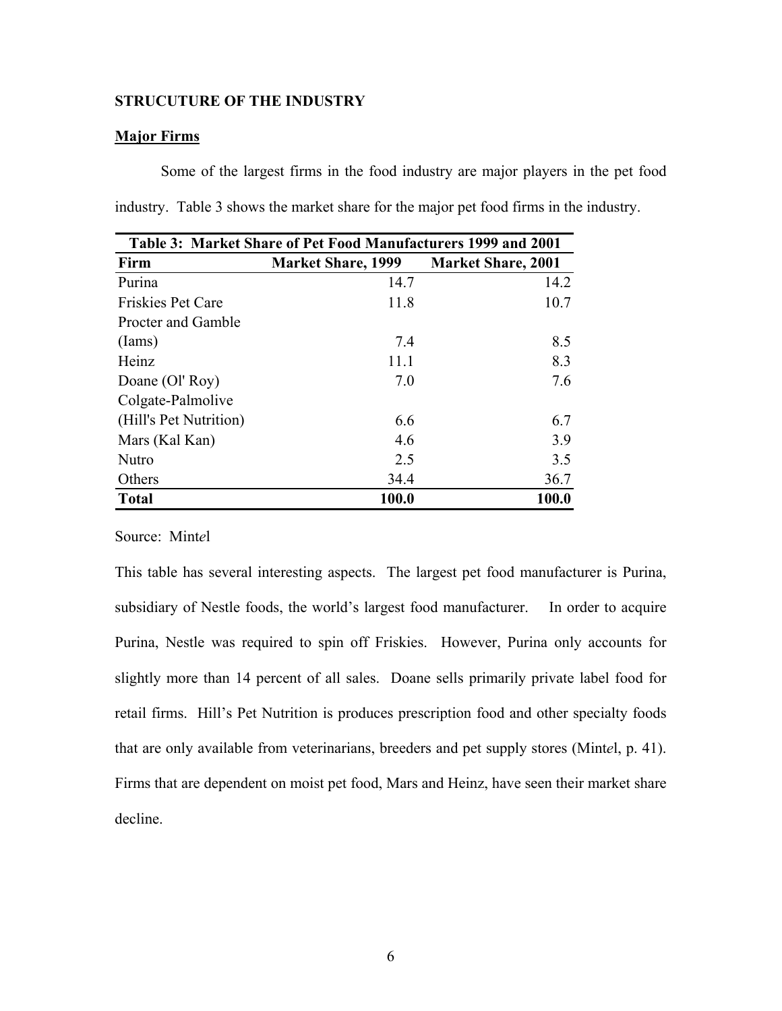## **STRUCUTURE OF THE INDUSTRY**

## **Major Firms**

Some of the largest firms in the food industry are major players in the pet food industry. Table 3 shows the market share for the major pet food firms in the industry.

| Table 3: Market Share of Pet Food Manufacturers 1999 and 2001 |                           |                           |  |
|---------------------------------------------------------------|---------------------------|---------------------------|--|
| Firm                                                          | <b>Market Share, 1999</b> | <b>Market Share, 2001</b> |  |
| Purina                                                        | 14.7                      | 14.2                      |  |
| <b>Friskies Pet Care</b>                                      | 11.8                      | 10.7                      |  |
| Procter and Gamble                                            |                           |                           |  |
| $($ Iams $)$                                                  | 7.4                       | 8.5                       |  |
| Heinz                                                         | 11.1                      | 8.3                       |  |
| Doane (Ol' Roy)                                               | 7.0                       | 7.6                       |  |
| Colgate-Palmolive                                             |                           |                           |  |
| (Hill's Pet Nutrition)                                        | 6.6                       | 6.7                       |  |
| Mars (Kal Kan)                                                | 4.6                       | 3.9                       |  |
| <b>Nutro</b>                                                  | 2.5                       | 3.5                       |  |
| Others                                                        | 34.4                      | 36.7                      |  |
| <b>Total</b>                                                  | 100.0                     | 100.0                     |  |

Source: Mint*e*l

This table has several interesting aspects. The largest pet food manufacturer is Purina, subsidiary of Nestle foods, the world's largest food manufacturer. In order to acquire Purina, Nestle was required to spin off Friskies. However, Purina only accounts for slightly more than 14 percent of all sales. Doane sells primarily private label food for retail firms. Hill's Pet Nutrition is produces prescription food and other specialty foods that are only available from veterinarians, breeders and pet supply stores (Mint*e*l, p. 41). Firms that are dependent on moist pet food, Mars and Heinz, have seen their market share decline.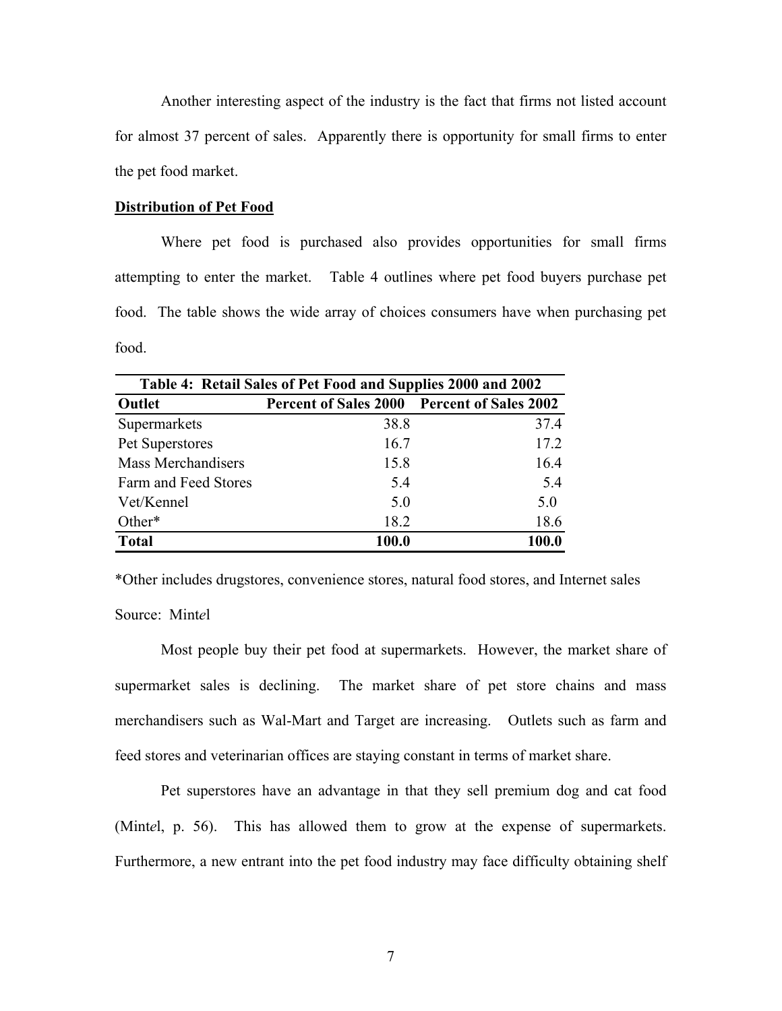Another interesting aspect of the industry is the fact that firms not listed account for almost 37 percent of sales. Apparently there is opportunity for small firms to enter the pet food market.

## **Distribution of Pet Food**

 Where pet food is purchased also provides opportunities for small firms attempting to enter the market. Table 4 outlines where pet food buyers purchase pet food. The table shows the wide array of choices consumers have when purchasing pet food.

| Table 4: Retail Sales of Pet Food and Supplies 2000 and 2002 |                                                    |       |  |  |
|--------------------------------------------------------------|----------------------------------------------------|-------|--|--|
| Outlet                                                       | <b>Percent of Sales 2000 Percent of Sales 2002</b> |       |  |  |
| Supermarkets                                                 | 38.8                                               | 37.4  |  |  |
| Pet Superstores                                              | 16.7                                               | 17.2  |  |  |
| <b>Mass Merchandisers</b>                                    | 15.8                                               | 16.4  |  |  |
| Farm and Feed Stores                                         | 5.4                                                | 5.4   |  |  |
| Vet/Kennel                                                   | 5.0                                                | 5.0   |  |  |
| Other*                                                       | 18.2                                               | 18.6  |  |  |
| <b>Total</b>                                                 | 100.0                                              | 100.0 |  |  |

\*Other includes drugstores, convenience stores, natural food stores, and Internet sales

Source: Mint*e*l

Most people buy their pet food at supermarkets. However, the market share of supermarket sales is declining. The market share of pet store chains and mass merchandisers such as Wal-Mart and Target are increasing. Outlets such as farm and feed stores and veterinarian offices are staying constant in terms of market share.

 Pet superstores have an advantage in that they sell premium dog and cat food (Mint*e*l, p. 56). This has allowed them to grow at the expense of supermarkets. Furthermore, a new entrant into the pet food industry may face difficulty obtaining shelf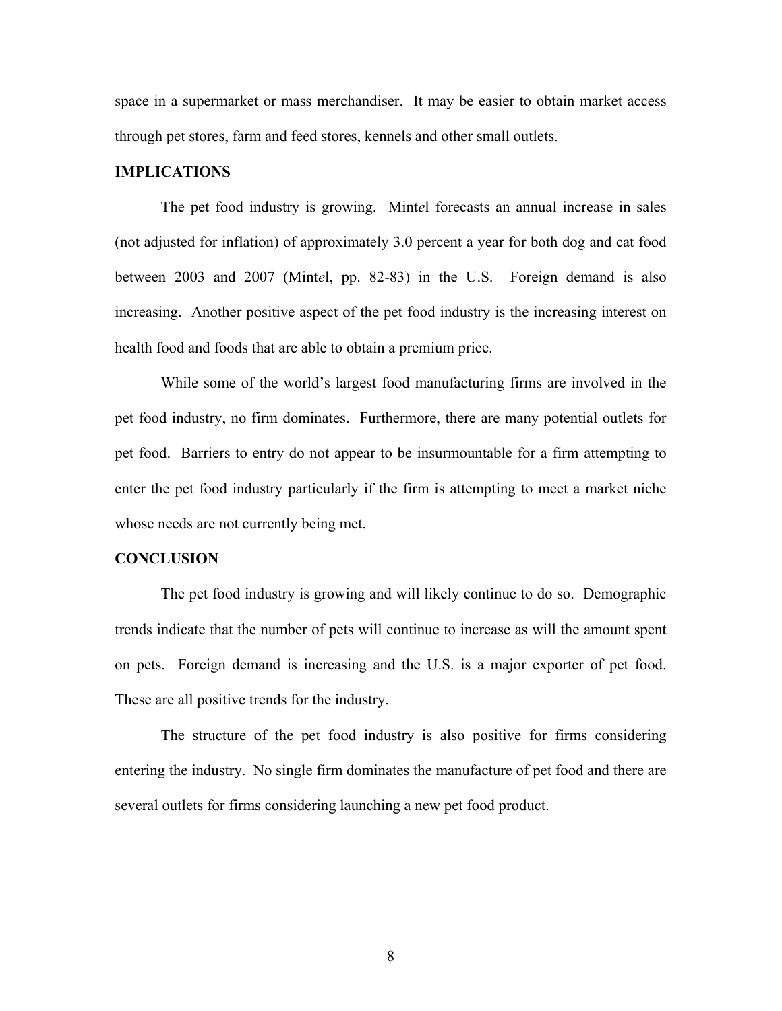space in a supermarket or mass merchandiser. It may be easier to obtain market access through pet stores, farm and feed stores, kennels and other small outlets.

## **IMPLICATIONS**

 The pet food industry is growing. Mint*e*l forecasts an annual increase in sales (not adjusted for inflation) of approximately 3.0 percent a year for both dog and cat food between 2003 and 2007 (Mint*e*l, pp. 82-83) in the U.S. Foreign demand is also increasing. Another positive aspect of the pet food industry is the increasing interest on health food and foods that are able to obtain a premium price.

 While some of the world's largest food manufacturing firms are involved in the pet food industry, no firm dominates. Furthermore, there are many potential outlets for pet food. Barriers to entry do not appear to be insurmountable for a firm attempting to enter the pet food industry particularly if the firm is attempting to meet a market niche whose needs are not currently being met.

#### **CONCLUSION**

 The pet food industry is growing and will likely continue to do so. Demographic trends indicate that the number of pets will continue to increase as will the amount spent on pets. Foreign demand is increasing and the U.S. is a major exporter of pet food. These are all positive trends for the industry.

 The structure of the pet food industry is also positive for firms considering entering the industry. No single firm dominates the manufacture of pet food and there are several outlets for firms considering launching a new pet food product.